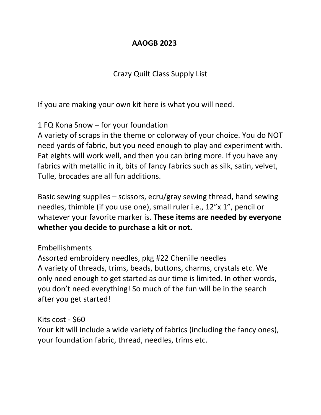### **AAOGB 2023**

### Crazy Quilt Class Supply List

If you are making your own kit here is what you will need.

# 1 FQ Kona Snow – for your foundation

A variety of scraps in the theme or colorway of your choice. You do NOT need yards of fabric, but you need enough to play and experiment with. Fat eights will work well, and then you can bring more. If you have any fabrics with metallic in it, bits of fancy fabrics such as silk, satin, velvet, Tulle, brocades are all fun additions.

Basic sewing supplies – scissors, ecru/gray sewing thread, hand sewing needles, thimble (if you use one), small ruler i.e., 12"x 1", pencil or whatever your favorite marker is. **These items are needed by everyone whether you decide to purchase a kit or not.**

# Embellishments

Assorted embroidery needles, pkg #22 Chenille needles A variety of threads, trims, beads, buttons, charms, crystals etc. We only need enough to get started as our time is limited. In other words, you don't need everything! So much of the fun will be in the search after you get started!

### Kits cost - \$60

Your kit will include a wide variety of fabrics (including the fancy ones), your foundation fabric, thread, needles, trims etc.